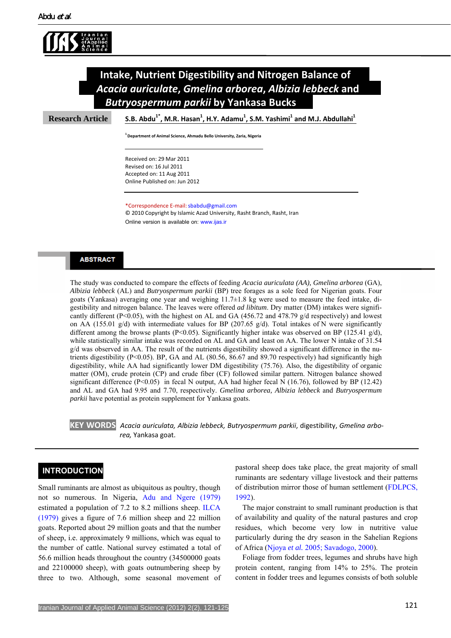



**Research Article**

**S.B. Abdu1\* , M.R. Hasan1 , H.Y. Adamu1 , S.M. Yashimi <sup>1</sup> and M.J. Abdullahi1**

**1 Department of Animal Science, Ahmadu Bello University, Zaria, Nigeria**

Received on: 29 Mar 2011 Revised on: 16 Jul 2011 Accepted on: 11 Aug 2011 Online Published on: Jun 2012

\*Correspondence E‐mail:[sbabdu@gmail.com](mailto:sbabdu@gmail.com)

© 2010 Copyright by Islamic Azad University, Rasht Branch, Rasht, Iran Online version is available on: [www.ijas.ir](http://www.ijas.ir/)

## **ABSTRACT**

The study was conducted to compare the effects of feeding *Acacia auriculata (AA), Gmelina arborea* (GA), *Albizia lebbeck* (AL) and *Butryospermum parkii* (BP) tree forages as a sole feed for Nigerian goats. Four goats (Yankasa) averaging one year and weighing 11.7±1.8 kg were used to measure the feed intake, digestibility and nitrogen balance. The leaves were offered *ad libitum*. Dry matter (DM) intakes were significantly different (P<0.05), with the highest on AL and GA (456.72 and 478.79 g/d respectively) and lowest on AA (155.01 g/d) with intermediate values for BP (207.65 g/d). Total intakes of N were significantly different among the browse plants (P<0.05). Significantly higher intake was observed on BP (125.41 g/d), while statistically similar intake was recorded on AL and GA and least on AA. The lower N intake of 31.54 g/d was observed in AA. The result of the nutrients digestibility showed a significant difference in the nutrients digestibility (P<0.05). BP, GA and AL (80.56, 86.67 and 89.70 respectively) had significantly high digestibility, while AA had significantly lower DM digestibility (75.76). Also, the digestibility of organic matter (OM), crude protein (CP) and crude fiber (CF) followed similar pattern. Nitrogen balance showed significant difference ( $P<0.05$ ) in fecal N output, AA had higher fecal N (16.76), followed by BP (12.42) and AL and GA had 9.95 and 7.70, respectively. *Gmelina arborea, Albizia lebbeck* and *Butryospermum parkii* have potential as protein supplement for Yankasa goats.

**KEY WORDS** *Acacia auriculata, Albizia lebbeck, Butryospermum parkii*, digestibility, *Gmelina arbo‐ rea,* Yankasa goat.

# **INTRODUCTION**

Small ruminants are almost as ubiquitous as poultry, though not so numerous. In Nigeria, [Adu and Ngere \(1979\)](#page-3-0) estimated a population of 7.2 to 8.2 millions sheep. [ILCA](#page-3-1)  [\(1979\)](#page-3-1) gives a figure of 7.6 million sheep and 22 million goats. Reported about 29 million goats and that the number of sheep, i.e. approximately 9 millions, which was equal to the number of cattle. National survey estimated a total of 56.6 million heads throughout the country (34500000 goats and 22100000 sheep), with goats outnumbering sheep by three to two. Although, some seasonal movement of pastoral sheep does take place, the great majority of small ruminants are sedentary village livestock and their patterns of distribution mirror those of human settlement [\(FDLPCS,](#page-3-2)  [1992\)](#page-3-2).

The major constraint to small ruminant production is that of availability and quality of the natural pastures and crop residues, which become very low in nutritive value particularly during the dry season in the Sahelian Regions of Africa [\(Njoya](#page-4-0) *et al.* 2005; [Savadogo, 2000](#page-4-0)).

Foliage from fodder trees, legumes and shrubs have high protein content, ranging from 14% to 25%. The protein content in fodder trees and legumes consists of both soluble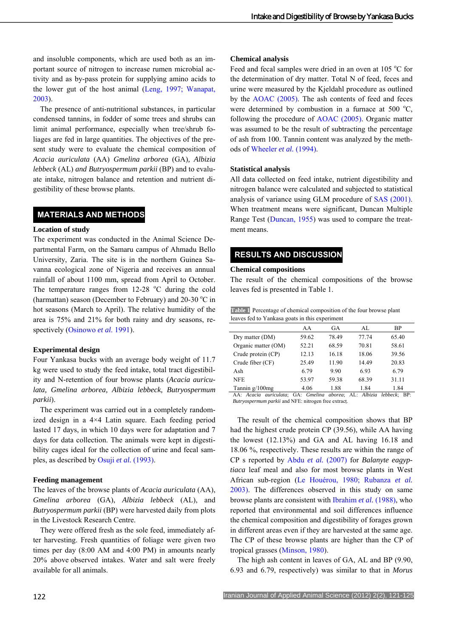and insoluble components, which are used both as an important source of nitrogen to increase rumen microbial activity and as by-pass protein for supplying amino acids to the lower gut of the host animal [\(Leng, 1997;](#page-4-1) [Wanapat,](#page-4-2)  [2003\)](#page-4-2).

The presence of anti-nutritional substances, in particular condensed tannins, in fodder of some trees and shrubs can limit animal performance, especially when tree/shrub foliages are fed in large quantities. The objectives of the present study were to evaluate the chemical composition of *Acacia auriculata* (AA) *Gmelina arborea* (GA)*, Albizia lebbeck* (AL) *and Butryospermum parkii* (BP) and to evaluate intake, nitrogen balance and retention and nutrient digestibility of these browse plants.

# **MATERIALS AND METHODS**

## **Location of study**

The experiment was conducted in the Animal Science Departmental Farm, on the Samaru campus of Ahmadu Bello University, Zaria. The site is in the northern Guinea Savanna ecological zone of Nigeria and receives an annual rainfall of about 1100 mm, spread from April to October. The temperature ranges from  $12-28$  °C during the cold (harmattan) season (December to February) and  $20-30$  °C in hot seasons (March to April). The relative humidity of the area is 75% and 21% for both rainy and dry seasons, respectively [\(Osinowo](#page-4-3) *et al*. 1991).

#### **Experimental design**

Four Yankasa bucks with an average body weight of 11.7 kg were used to study the feed intake, total tract digestibility and N-retention of four browse plants (*Acacia auriculata, Gmelina arborea, Albizia lebbeck, Butryospermum parkii*).

The experiment was carried out in a completely randomized design in a 4×4 Latin square. Each feeding period lasted 17 days, in which 10 days were for adaptation and 7 days for data collection. The animals were kept in digestibility cages ideal for the collection of urine and fecal samples, as described by Osuji *et al.* [\(1993\)](#page-4-4).

#### **Feeding management**

The leaves of the browse plants of *Acacia auriculata* (AA), *Gmelina arborea* (GA), *Albizia lebbeck* (AL), and *Butryospermum parkii* (BP) were harvested daily from plots in the Livestock Research Centre.

They were offered fresh as the sole feed, immediately after harvesting. Fresh quantities of foliage were given two times per day (8:00 AM and 4:00 PM) in amounts nearly 20% above observed intakes. Water and salt were freely available for all animals.

#### **Chemical analysis**

Feed and fecal samples were dried in an oven at 105 °C for the determination of dry matter. Total N of feed, feces and urine were measured by the Kjeldahl procedure as outlined by the [AOAC \(2005\)](#page-3-3). The ash contents of feed and feces were determined by combustion in a furnace at 500  $^{\circ}$ C, following the procedure of [AOAC \(2005\)](#page-3-3). Organic matter was assumed to be the result of subtracting the percentage of ash from 100. Tannin content was analyzed by the methods of [Wheeler](#page-4-5) *et al.* (1994).

#### **Statistical analysis**

All data collected on feed intake, nutrient digestibility and nitrogen balance were calculated and subjected to statistical analysis of variance using GLM procedure of [SAS \(2001\)](#page-4-6). When treatment means were significant, Duncan Multiple Range Test ([Duncan, 1955\)](#page-3-4) was used to compare the treatment means.

# **RESULTS AND DISCUSSION**

### **Chemical compositions**

The result of the chemical compositions of the browse leaves fed is presented in Table 1.

**Table 1** Percentage of chemical composition of the four browse plant leaves fed to Yankasa goats in this experiment

|                     | AA    | GA    | AL.   | <b>BP</b> |
|---------------------|-------|-------|-------|-----------|
| Dry matter (DM)     | 59.62 | 78.49 | 77.74 | 65.40     |
| Organic matter (OM) | 52.21 | 68.59 | 70.81 | 58.61     |
| Crude protein (CP)  | 12.13 | 16.18 | 18.06 | 39.56     |
| Crude fiber (CF)    | 25.49 | 11.90 | 14.49 | 20.83     |
| Ash                 | 6.79  | 9.90  | 6.93  | 6.79      |
| <b>NFE</b>          | 53.97 | 59.38 | 68.39 | 31.11     |
| Tannin $g/100$ mg   | 4.06  | 1.88  | 1.84  | 1.84      |

AA: *Acacia auriculata*; GA: *Gmelina aborea*; AL: *Albizia lebbeck*; BP: *Butryospermum parkii* and NFE: nitrogen free extract.

The result of the chemical composition shows that BP had the highest crude protein CP (39.56), while AA having the lowest (12.13%) and GA and AL having 16.18 and 18.06 %, respectively. These results are within the range of CP s reported by Abdu *et al.* [\(2007\)](#page-3-5) for *Balanyte eagyptiaca* leaf meal and also for most browse plants in West African sub-region ([Le Houérou, 1980](#page-4-7); [Rubanza](#page-4-8) *et al.*  [2003\).](#page-4-8) The differences observed in this study on same browse plants are consistent with [Ibrahim](#page-3-6) *et al.* (1988), who reported that environmental and soil differences influence the chemical composition and digestibility of forages grown in different areas even if they are harvested at the same age. The CP of these browse plants are higher than the CP of tropical grasses [\(Minson, 1980\)](#page-4-9).

The high ash content in leaves of GA, AL and BP (9.90, 6.93 and 6.79, respectively) was similar to that in *Morus*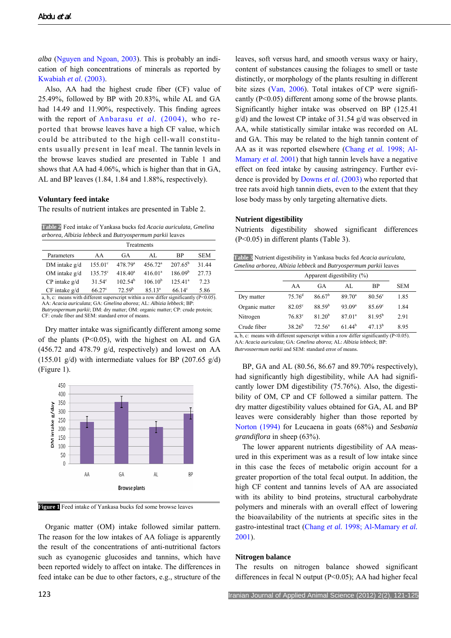*alba* ([Nguyen and Ngoan, 2003](#page-4-10)). This is probably an indication of high concentrations of minerals as reported by [Kwabiah](#page-4-11) *et al.* (2003).

Also, AA had the highest crude fiber (CF) value of 25.49%, followed by BP with 20.83%, while AL and GA had 14.49 and 11.90%, respectively. This finding agrees with the report of [Anbarasu](#page-3-7) *et al.* (2004), who reported that browse leaves have a high CF value, which could be attributed to the high cell-wall constituents usually present in leaf meal. The tannin levels in the browse leaves studied are presented in Table 1 and shows that AA had 4.06%, which is higher than that in GA, AL and BP leaves (1.84, 1.84 and 1.88%, respectively).

### **Voluntary feed intake**

The results of nutrient intakes are presented in Table 2.

**Table 2** Feed intake of Yankasa bucks fed *Acacia auriculata, Gmelina arborea, Albizia lebbeck* and *Butryospermum parkii* leaves

| Treatments        |                  |                     |                     |                        |            |  |
|-------------------|------------------|---------------------|---------------------|------------------------|------------|--|
| Parameters        | AA               | GA                  | AL.                 | ВP                     | <b>SEM</b> |  |
| DM intake $g/d$   | $155.01^{\circ}$ | 478.79 <sup>a</sup> | 456.72 <sup>a</sup> | $207.65^{\rm b}$       | 31 44      |  |
| OM intake $g/d$   | $135.75^{\circ}$ | $418.40^a$          | 416.01 <sup>a</sup> | 186.09 <sup>b</sup>    | 27.73      |  |
| $CP$ intake $g/d$ | 31.54 $^{\circ}$ | 102.54 <sup>b</sup> | $106.10^{b}$        | 125.41 <sup>a</sup>    | 7 23       |  |
| $CF$ intake $g/d$ | $66.27^{\circ}$  | 72.59 <sup>b</sup>  | $85.13^a$           | $66.14^{\circ}$<br>. . | 5.86       |  |

a, b, c: means with different superscript within a row differ significantly (P<0.05). AA: *Acacia auriculata*; GA: *Gmelina aborea*; AL: *Albizia lebbeck*; BP: *Butryospermum parkii*; DM: dry matter; OM: organic matter; CP: crude protein; CF: crude fiber and SEM: standard error of means.

Dry matter intake was significantly different among some of the plants  $(P<0.05)$ , with the highest on AL and GA (456.72 and 478.79 g/d, respectively) and lowest on AA (155.01  $g/d$ ) with intermediate values for BP (207.65  $g/d$ ) (Figure 1).



**Figure 1** Feed intake of Yankasa bucks fed some browse leaves

Organic matter (OM) intake followed similar pattern. The reason for the low intakes of AA foliage is apparently the result of the concentrations of anti-nutritional factors such as cyanogenic glucosides and tannins, which have been reported widely to affect on intake. The differences in feed intake can be due to other factors, e.g., structure of the leaves, soft versus hard, and smooth versus waxy or hairy, content of substances causing the foliages to smell or taste distinctly, or morphology of the plants resulting in different bite sizes ([Van, 2006\)](#page-4-12). Total intakes of CP were significantly (P<0.05) different among some of the browse plants. Significantly higher intake was observed on BP (125.41 g/d) and the lowest CP intake of 31.54 g/d was observed in AA, while statistically similar intake was recorded on AL and GA. This may be related to the high tannin content of AA as it was reported elsewhere ([Chang](#page-3-8) *et al.* 1998; [Al-](#page-3-9)[Mamary](#page-3-9) *et al.* 2001) that high tannin levels have a negative effect on feed intake by causing astringency. Further evidence is provided by [Downs](#page-3-10) *et al.* (2003) who reported that tree rats avoid high tannin diets, even to the extent that they lose body mass by only targeting alternative diets.

### **Nutrient digestibility**

Nutrients digestibility showed significant differences (P<0.05) in different plants (Table 3).

| Table 3 Nutrient digestibility in Yankasa bucks fed Acacia auriculata, |  |  |  |  |
|------------------------------------------------------------------------|--|--|--|--|
| Gmelina arborea, Albizia lebbeck and Butryospermum parkii leaves       |  |  |  |  |

|                | Apparent digestibility $(\%)$ |                    |                    |                 |            |
|----------------|-------------------------------|--------------------|--------------------|-----------------|------------|
|                | AA                            | GA                 | AL.                | <b>BP</b>       | <b>SEM</b> |
| Dry matter     | 75.76 <sup>d</sup>            | 86.67 <sup>b</sup> | $89.70^{\circ}$    | $80.56^{\circ}$ | 1.85       |
| Organic matter | $82.05^{\circ}$               | 88.59 <sup>b</sup> | 93.09 <sup>a</sup> | 85.69°          | 1.84       |
| Nitrogen       | 76.83 <sup>c</sup>            | 81.20 <sup>b</sup> | 87.01 <sup>a</sup> | $81.95^{b}$     | 2.91       |
| Crude fiber    | $38.26^{b}$                   | 72.56 <sup>a</sup> | $61,44^{b}$        | $4713^b$        | 8.95       |

a, b, c: means with different superscript within a row differ significantly (P<0.05). AA: *Acacia auriculata*; GA: *Gmelina aborea*; AL: *Albizia lebbeck*; BP: *Butryospermum parkii* and SEM: standard error of means.

BP, GA and AL (80.56, 86.67 and 89.70% respectively), had significantly high digestibility, while AA had significantly lower DM digestibility (75.76%). Also, the digestibility of OM, CP and CF followed a similar pattern. The dry matter digestibility values obtained for GA, AL and BP leaves were considerably higher than those reported by [Norton \(1994\)](#page-4-13) for Leucaena in goats (68%) and *Sesbania grandiflora* in sheep (63%).

The lower apparent nutrients digestibility of AA measured in this experiment was as a result of low intake since in this case the feces of metabolic origin account for a greater proportion of the total fecal output. In addition, the high CF content and tannins levels of AA are associated with its ability to bind proteins, structural carbohydrate polymers and minerals with an overall effect of lowering the bioavailability of the nutrients at specific sites in the gastro-intestinal tract [\(Chang](#page-3-8) *et al.* 1998; [Al-Mamary](#page-3-9) *et al.* [2001\)](#page-3-9).

#### **Nitrogen balance**

The results on nitrogen balance showed significant differences in fecal N output (P<0.05); AA had higher fecal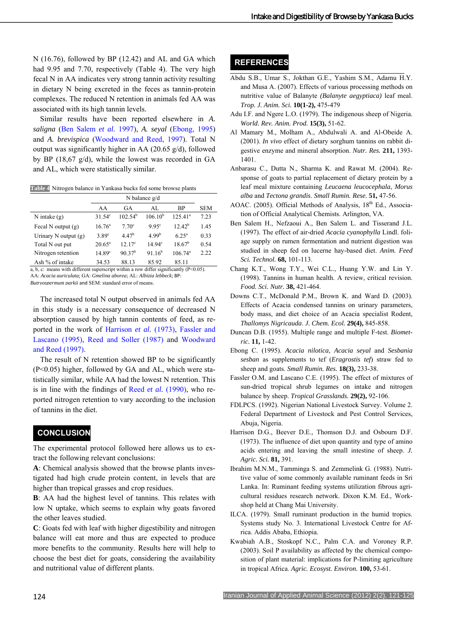<span id="page-3-5"></span>N (16.76), followed by BP (12.42) and AL and GA which had 9.95 and 7.70, respectively (Table 4). The very high fecal N in AA indicates very strong tannin activity resulting in dietary N being excreted in the feces as tannin-protein complexes. The reduced N retention in animals fed AA was associated with its high tannin levels.

<span id="page-3-9"></span><span id="page-3-0"></span>Similar results have been reported elsewhere in *A. saligna* ([Ben Salem](#page-3-11) *et al.* 1997), *A. seyal* ([Ebong, 1995](#page-3-12)) and *A. brevispica* [\(Woodward and Reed, 1997](#page-4-4)). Total N output was significantly higher in AA (20.65 g/d), followed by BP (18,67 g/d), while the lowest was recorded in GA and AL, which were statistically similar.

<span id="page-3-7"></span>**Table 4** Nitrogen balance in Yankasa bucks fed some browse plants

<span id="page-3-11"></span><span id="page-3-3"></span>

|                        | N balance $g/d$    |                     |                   |                  |            |
|------------------------|--------------------|---------------------|-------------------|------------------|------------|
|                        | AA                 | GA                  | AL.               | <b>BP</b>        | <b>SEM</b> |
| N intake $(g)$         | $31.54^{\circ}$    | 102.54 <sup>b</sup> | $106.10^{b}$      | $125.41^a$       | 7.23       |
| Fecal N output $(g)$   | $16.76^{\circ}$    | 7.70 <sup>c</sup>   | 9.95 <sup>c</sup> | $12.42^b$        | 1.45       |
| Urinary N output $(g)$ | $3.89^\circ$       | $4.47^{b}$          | 4.99 <sup>b</sup> | $6.25^{\rm a}$   | 0.33       |
| Total N out put        | $20.65^{\circ}$    | $12.17^{\circ}$     | $14.94^{\circ}$   | $18.67^{\rm b}$  | 0.54       |
| Nitrogen retention     | 14.89 <sup>c</sup> | 90.37 <sup>b</sup>  | $91.16^{b}$       | $106.74^{\circ}$ | 2.22       |
| Ash % of intake        | 34.53              | 88.13               | 85.92             | 85.11            |            |

<span id="page-3-8"></span>a, b, c: means with different superscript within a row differ significantly (P<0.05). AA: *Acacia auriculata*; GA: *Gmelina aborea*; AL: *Albizia lebbeck*; BP: *Butryospermum parkii* and SEM: standard error of means.

<span id="page-3-10"></span>

The increased total N output observed in animals fed AA in this study is a necessary consequence of decreased N absorption caused by high tannin contents of feed, as reported in the work of [Harrison](#page-3-13) *et al.* (1973), [Fassler and](#page-3-14)  [Lascano \(1995](#page-3-14)), [Reed and Soller \(1987\)](#page-4-7) and [Woodward](#page-4-4)  [and Reed \(1997](#page-4-4)).

<span id="page-3-14"></span><span id="page-3-12"></span><span id="page-3-4"></span>The result of N retention showed BP to be significantly (P<0.05) higher, followed by GA and AL, which were statistically similar, while AA had the lowest N retention. This is in line with the findings of Reed *et al.* [\(1990\)](#page-4-1), who reported nitrogen retention to vary according to the inclusion of tannins in the diet.

# <span id="page-3-2"></span> **CONCLUSION**

<span id="page-3-13"></span>The experimental protocol followed here allows us to extract the following relevant conclusions:

<span id="page-3-6"></span>**A**: Chemical analysis showed that the browse plants investigated had high crude protein content, in levels that are higher than tropical grasses and crop residues.

**B**: AA had the highest level of tannins. This relates with low N uptake, which seems to explain why goats favored the other leaves studied.

<span id="page-3-1"></span>**C**: Goats fed with leaf with higher digestibility and nitrogen balance will eat more and thus are expected to produce more benefits to the community. Results here will help to choose the best diet for goats, considering the availability and nutritional value of different plants.

# **REFERENCES**

- Abdu S.B., Umar S., Jokthan G.E., Yashim S.M., Adamu H.Y. and Musa A. (2007). Effects of various processing methods on nutritive value of Balanyte *(Balanyte aegyptiaca)* leaf meal. *Trop. J. Anim. Sci.* **10(1-2),** 475-479
- Adu I.F. and Ngere L.O. (1979). The indigenous sheep of Nigeria. *World. Rev. Anim. Prod.* **15(3),** 51-62.
- Al Mamary M., Molham A., Abdulwali A. and Al-Obeide A. (2001). *In vivo* effect of dietary sorghum tannins on rabbit digestive enzyme and mineral absorption. *Nutr. Res.* **211,** 1393- 1401.
- Anbarasu C., Dutta N., Sharma K. and Rawat M. (2004). Response of goats to partial replacement of dietary protein by a leaf meal mixture containing *Leucaena leucocephala*, *Morus alba* and *Tectona grandis*. *Small Rumin. Rese.* **51,** 47-56.
- AOAC. (2005). Official Methods of Analysis, 18<sup>th</sup> Ed., Association of Official Analytical Chemists. Arlington, VA.
- Ben Salem H., Nefzaoui A., Ben Salem L. and Tisserand J.L. (1997). The effect of air-dried *Acacia cyanophylla* Lindl. foliage supply on rumen fermentation and nutrient digestion was studied in sheep fed on lucerne hay-based diet. *Anim. Feed Sci. Technol.* **68,** 101-113.
- Chang K.T., Wong T.Y., Wei C.L., Huang Y.W. and Lin Y. (1998). Tannins in human health. A review, critical revision. *Food. Sci. Nutr.* **38,** 421-464.
- Downs C.T., McDonald P.M., Brown K. and Ward D. (2003). Effects of Acacia condensed tannins on urinary parameters, body mass, and diet choice of an Acacia specialist Rodent, *Thallomys Nigricauda*. *J. Chem. Ecol.* **29(4),** 845-858.
- Duncan D.B. (1955). Multiple range and multiple F-test. *Biometric.* **11,** 1-42.
- Ebong C. (1995). *Acacia nilotica*, *Acacia seyal* and *Sesbania sesban* as supplements to tef (*Eragrostis tef*) straw fed to sheep and goats. *Small Rumin. Res.* **18(3),** 233-38.
- Fassler O.M. and Lascano C.E. (1995). The effect of mixtures of sun-dried tropical shrub legumes on intake and nitrogen balance by sheep. *Tropical Grasslands.* **29(2),** 92-106.
- FDLPCS. (1992). Nigerian National Livestock Survey. Volume 2. Federal Department of Livestock and Pest Control Services, Abuja, Nigeria.
- Harrison D.G., Beever D.E., Thomson D.J. and Osbourn D.F. (1973). The influence of diet upon quantity and type of amino acids entering and leaving the small intestine of sheep. *J. Agric. Sci.* **81,** 391.
- Ibrahim M.N.M., Tamminga S. and Zemmelink G. (1988). Nutritive value of some commonly available ruminant feeds in Sri Lanka. In: Ruminant feeding systems utilization fibrous agricultural residues research network. Dixon K.M. Ed., Workshop held at Chang Mai University.
- ILCA. (1979). Small ruminant production in the humid tropics. Systems study No. 3. International Livestock Centre for Africa. Addis Ababa, Ethiopia.
- Kwabiah A.B., Stoskopf N.C., Palm C.A. and Voroney R.P. (2003). Soil P availability as affected by the chemical composition of plant material: implications for P-limiting agriculture in tropical Africa. *Agric. Ecosyst. Environ.* **100,** 53-61.